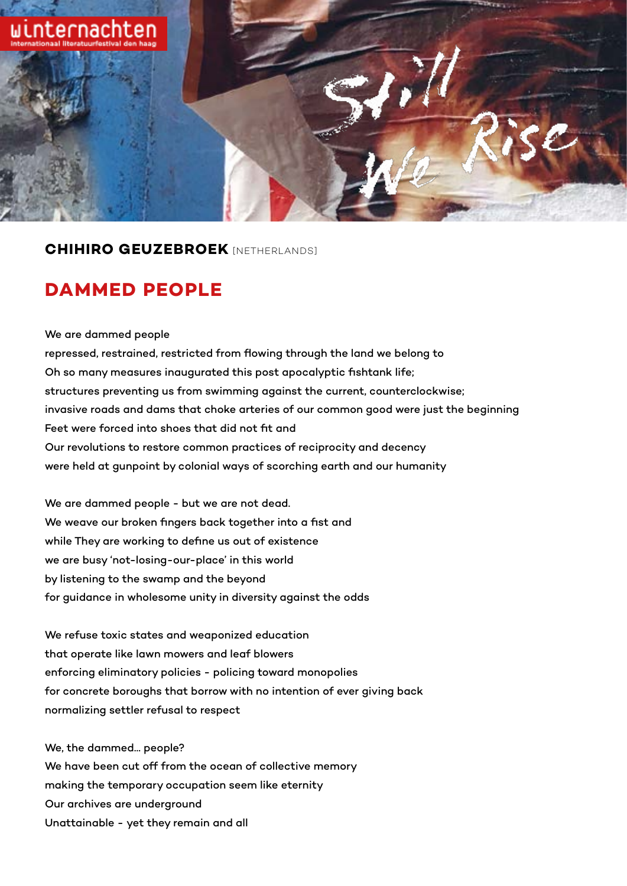

## **CHIHIRO GEUZEBROEK** [NETHERLANDS]

## **DAMMED PEOPLE**

We are dammed people repressed, restrained, restricted from flowing through the land we belong to Oh so many measures inaugurated this post apocalyptic fishtank life; structures preventing us from swimming against the current, counterclockwise; invasive roads and dams that choke arteries of our common good were just the beginning Feet were forced into shoes that did not fit and Our revolutions to restore common practices of reciprocity and decency were held at gunpoint by colonial ways of scorching earth and our humanity

We are dammed people - but we are not dead. We weave our broken fingers back together into a fist and while They are working to define us out of existence we are busy 'not-losing-our-place' in this world by listening to the swamp and the beyond for guidance in wholesome unity in diversity against the odds

We refuse toxic states and weaponized education that operate like lawn mowers and leaf blowers enforcing eliminatory policies - policing toward monopolies for concrete boroughs that borrow with no intention of ever giving back normalizing settler refusal to respect

We, the dammed... people? We have been cut off from the ocean of collective memory making the temporary occupation seem like eternity Our archives are underground Unattainable - yet they remain and all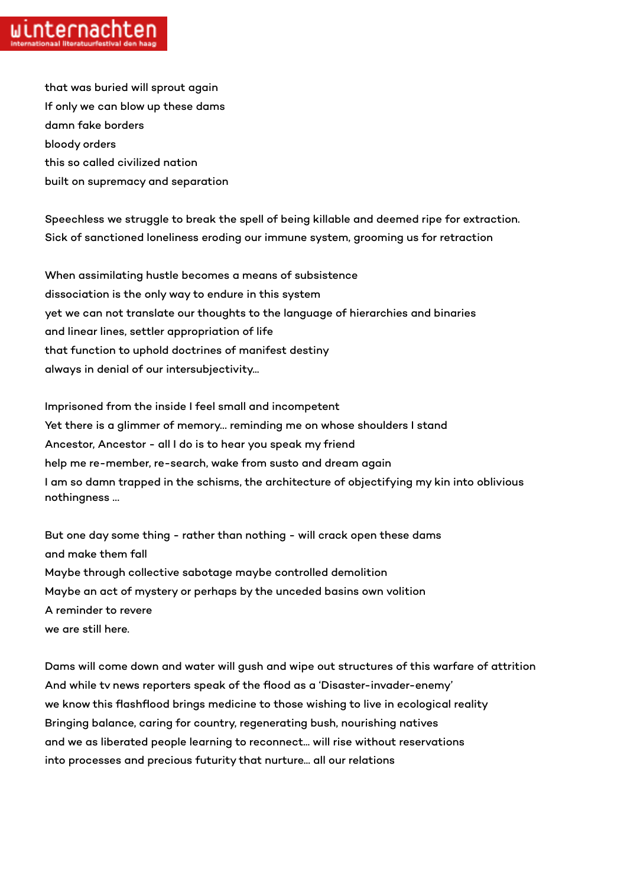that was buried will sprout again If only we can blow up these dams damn fake borders bloody orders this so called civilized nation built on supremacy and separation

Speechless we struggle to break the spell of being killable and deemed ripe for extraction. Sick of sanctioned loneliness eroding our immune system, grooming us for retraction

When assimilating hustle becomes a means of subsistence dissociation is the only way to endure in this system yet we can not translate our thoughts to the language of hierarchies and binaries and linear lines, settler appropriation of life that function to uphold doctrines of manifest destiny always in denial of our intersubjectivity...

Imprisoned from the inside I feel small and incompetent Yet there is a glimmer of memory… reminding me on whose shoulders I stand Ancestor, Ancestor - all I do is to hear you speak my friend help me re-member, re-search, wake from susto and dream again I am so damn trapped in the schisms, the architecture of objectifying my kin into oblivious nothingness …

But one day some thing - rather than nothing - will crack open these dams and make them fall Maybe through collective sabotage maybe controlled demolition Maybe an act of mystery or perhaps by the unceded basins own volition A reminder to revere we are still here.

Dams will come down and water will gush and wipe out structures of this warfare of attrition And while tv news reporters speak of the flood as a 'Disaster-invader-enemy' we know this flashflood brings medicine to those wishing to live in ecological reality Bringing balance, caring for country, regenerating bush, nourishing natives and we as liberated people learning to reconnect... will rise without reservations into processes and precious futurity that nurture... all our relations